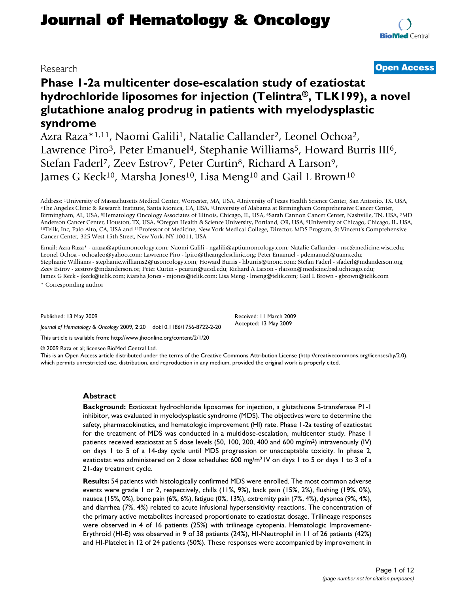# **Journal of Hematology & Oncology**

# **Phase 1-2a multicenter dose-escalation study of ezatiostat hydrochloride liposomes for injection (Telintra®, TLK199), a novel glutathione analog prodrug in patients with myelodysplastic syndrome**

Azra Raza\*1,11, Naomi Galili1, Natalie Callander2, Leonel Ochoa2, Lawrence Piro<sup>3</sup>, Peter Emanuel<sup>4</sup>, Stephanie Williams<sup>5</sup>, Howard Burris III<sup>6</sup>, Stefan Faderl<sup>7</sup>, Zeev Estrov<sup>7</sup>, Peter Curtin<sup>8</sup>, Richard A Larson<sup>9</sup>, James G Keck<sup>10</sup>, Marsha Jones<sup>10</sup>, Lisa Meng<sup>10</sup> and Gail L Brown<sup>10</sup>

Address: <sup>1</sup>University of Massachusetts Medical Center, Worcester, MA, USA, <sup>2</sup>University of Texas Health Science Center, San Antonio, TX, USA, <sup>3</sup>The Angeles Clinic & Research Institute, Santa Monica, CA, USA, <sup>4</sup>Universi Birmingham, AL, USA, 5Hematology Oncology Associates of Illinois, Chicago, IL, USA, 6Sarah Cannon Cancer Center, Nashville, TN, USA, 7MD Anderson Cancer Center, Houston, TX, USA, <sup>8</sup>Oregon Health & Science University, Portland, OR, USA, <sup>9</sup>University of Chicago, Chicago, IL, USA, <sup>10</sup>Telik, Inc, Palo Alto, CA, USA and <sup>11</sup>Professor of Medicine, New York Med Cancer Center, 325 West 15th Street, New York, NY 10011, USA

Email: Azra Raza\* - araza@aptiumoncology.com; Naomi Galili - ngalili@aptiumoncology.com; Natalie Callander - nsc@medicine.wisc.edu; Leonel Ochoa - ochoaleo@yahoo.com; Lawrence Piro - lpiro@theangelesclinic.org; Peter Emanuel - pdemanuel@uams.edu; Stephanie Williams - stephanie.williams2@usoncology.com; Howard Burris - hburris@tnonc.com; Stefan Faderl - sfaderl@mdanderson.org; Zeev Estrov - zestrov@mdanderson.or; Peter Curtin - pcurtin@ucsd.edu; Richard A Larson - rlarson@medicine.bsd.uchicago.edu; James G Keck - jkeck@telik.com; Marsha Jones - mjones@telik.com; Lisa Meng - lmeng@telik.com; Gail L Brown - gbrown@telik.com \* Corresponding author

Published: 13 May 2009

*Journal of Hematology & Oncology* 2009, **2**:20 doi:10.1186/1756-8722-2-20

This article is available from: http://www.jhoonline.org/content/2/1/20

© 2009 Raza et al; licensee BioMed Central Ltd.

This is an Open Access article distributed under the terms of the Creative Commons Attribution License (http://creativecommons.org/licenses/by/2.0), which permits unrestricted use, distribution, and reproduction in any medium, provided the original work is properly cited.

Received: 11 March 2009 Accepted: 13 May 2009

#### **Abstract**

**Background:** Ezatiostat hydrochloride liposomes for injection, a glutathione S-transferase P1-1 inhibitor, was evaluated in myelodysplastic syndrome (MDS). The objectives were to determine the safety, pharmacokinetics, and hematologic improvement (HI) rate. Phase 1-2a testing of ezatiostat for the treatment of MDS was conducted in a multidose-escalation, multicenter study. Phase 1 patients received ezatiostat at 5 dose levels (50, 100, 200, 400 and 600 mg/m2) intravenously (IV) on days 1 to 5 of a 14-day cycle until MDS progression or unacceptable toxicity. In phase 2, ezatiostat was administered on 2 dose schedules: 600 mg/m<sup>2</sup> IV on days 1 to 5 or days 1 to 3 of a 21-day treatment cycle.

**Results:** 54 patients with histologically confirmed MDS were enrolled. The most common adverse events were grade 1 or 2, respectively, chills (11%, 9%), back pain (15%, 2%), flushing (19%, 0%), nausea (15%, 0%), bone pain (6%, 6%), fatigue (0%, 13%), extremity pain (7%, 4%), dyspnea (9%, 4%), and diarrhea (7%, 4%) related to acute infusional hypersensitivity reactions. The concentration of the primary active metabolites increased proportionate to ezatiostat dosage. Trilineage responses were observed in 4 of 16 patients (25%) with trilineage cytopenia. Hematologic Improvement-Erythroid (HI-E) was observed in 9 of 38 patients (24%), HI-Neutrophil in 11 of 26 patients (42%) and HI-Platelet in 12 of 24 patients (50%). These responses were accompanied by improvement in



## Research **Open Access**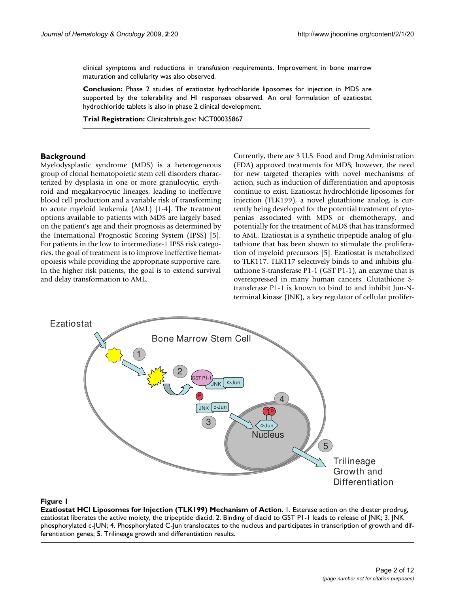clinical symptoms and reductions in transfusion requirements. Improvement in bone marrow maturation and cellularity was also observed.

**Conclusion:** Phase 2 studies of ezatiostat hydrochloride liposomes for injection in MDS are supported by the tolerability and HI responses observed. An oral formulation of ezatiostat hydrochloride tablets is also in phase 2 clinical development.

**Trial Registration:** Clinicaltrials.gov: NCT00035867

#### **Background**

Myelodysplastic syndrome (MDS) is a heterogeneous group of clonal hematopoietic stem cell disorders characterized by dysplasia in one or more granulocytic, erythroid and megakaryocytic lineages, leading to ineffective blood cell production and a variable risk of transforming to acute myeloid leukemia (AML) [1-4]. The treatment options available to patients with MDS are largely based on the patient's age and their prognosis as determined by the International Prognostic Scoring System (IPSS) [5]. For patients in the low to intermediate-1 IPSS risk categories, the goal of treatment is to improve ineffective hematopoiesis while providing the appropriate supportive care. In the higher risk patients, the goal is to extend survival and delay transformation to AML.

Currently, there are 3 U.S. Food and Drug Administration (FDA) approved treatments for MDS; however, the need for new targeted therapies with novel mechanisms of action, such as induction of differentiation and apoptosis continue to exist. Ezatiostat hydrochloride liposomes for injection (TLK199), a novel glutathione analog, is currently being developed for the potential treatment of cytopenias associated with MDS or chemotherapy, and potentially for the treatment of MDS that has transformed to AML. Ezatiostat is a synthetic tripeptide analog of glutathione that has been shown to stimulate the proliferation of myeloid precursors [5]. Ezatiostat is metabolized to TLK117. TLK117 selectively binds to and inhibits glutathione S-transferase P1-1 (GST P1-1), an enzyme that is overexpressed in many human cancers. Glutathione Stransferase P1-1 is known to bind to and inhibit Jun-Nterminal kinase (JNK), a key regulator of cellular prolifer-



#### **Figure I**

**Ezatiostat HCl Liposomes for Injection (TLK199) Mechanism of Action**. 1. Esterase action on the diester prodrug, ezatiostat liberates the active moiety, the tripeptide diacid; 2. Binding of diacid to GST P1-1 leads to release of JNK; 3. JNK phosphorylated c-JUN; 4. Phosphorylated C-Jun translocates to the nucleus and participates in transcription of growth and differentiation genes; 5. Trilineage growth and differentiation results.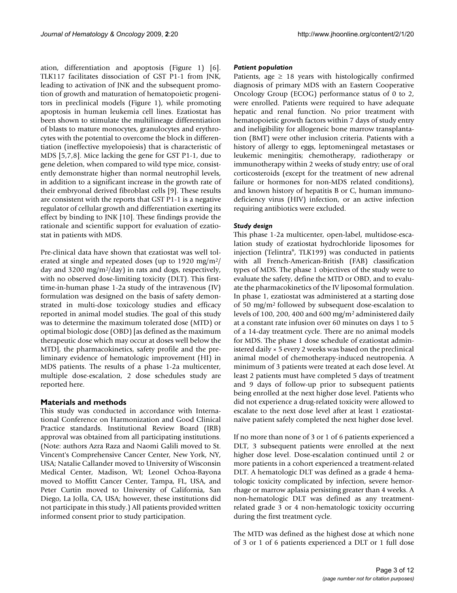ation, differentiation and apoptosis (Figure 1) [6]. TLK117 facilitates dissociation of GST P1-1 from JNK, leading to activation of JNK and the subsequent promotion of growth and maturation of hematopoietic progenitors in preclinical models (Figure 1), while promoting apoptosis in human leukemia cell lines. Ezatiostat has been shown to stimulate the multilineage differentiation of blasts to mature monocytes, granulocytes and erythrocytes with the potential to overcome the block in differentiation (ineffective myelopoiesis) that is characteristic of MDS [5,7,8]. Mice lacking the gene for GST P1-1, due to gene deletion, when compared to wild type mice, consistently demonstrate higher than normal neutrophil levels, in addition to a significant increase in the growth rate of their embryonal derived fibroblast cells [9]. These results are consistent with the reports that GST P1-1 is a negative regulator of cellular growth and differentiation exerting its effect by binding to JNK [10]. These findings provide the rationale and scientific support for evaluation of ezatiostat in patients with MDS.

Pre-clinical data have shown that ezatiostat was well tolerated at single and repeated doses (up to 1920 mg/m2/ day and 3200 mg/m2/day) in rats and dogs, respectively, with no observed dose-limiting toxicity (DLT). This firsttime-in-human phase 1-2a study of the intravenous (IV) formulation was designed on the basis of safety demonstrated in multi-dose toxicology studies and efficacy reported in animal model studies. The goal of this study was to determine the maximum tolerated dose (MTD) or optimal biologic dose (OBD) [as defined as the maximum therapeutic dose which may occur at doses well below the MTD], the pharmacokinetics, safety profile and the preliminary evidence of hematologic improvement (HI) in MDS patients. The results of a phase 1-2a multicenter, multiple dose-escalation, 2 dose schedules study are reported here.

#### **Materials and methods**

This study was conducted in accordance with International Conference on Harmonization and Good Clinical Practice standards. Institutional Review Board (IRB) approval was obtained from all participating institutions. (Note: authors Azra Raza and Naomi Galili moved to St. Vincent's Comprehensive Cancer Center, New York, NY, USA; Natalie Callander moved to University of Wisconsin Medical Center, Madison, WI; Leonel Ochoa-Bayona moved to Moffitt Cancer Center, Tampa, FL, USA, and Peter Curtin moved to University of California, San Diego, La Jolla, CA, USA; however, these institutions did not participate in this study.) All patients provided written informed consent prior to study participation.

#### *Patient population*

Patients, age  $\geq 18$  years with histologically confirmed diagnosis of primary MDS with an Eastern Cooperative Oncology Group (ECOG) performance status of 0 to 2, were enrolled. Patients were required to have adequate hepatic and renal function. No prior treatment with hematopoietic growth factors within 7 days of study entry and ineligibility for allogeneic bone marrow transplantation (BMT) were other inclusion criteria. Patients with a history of allergy to eggs, leptomeningeal metastases or leukemic meningitis; chemotherapy, radiotherapy or immunotherapy within 2 weeks of study entry; use of oral corticosteroids (except for the treatment of new adrenal failure or hormones for non-MDS related conditions), and known history of hepatitis B or C, human immunodeficiency virus (HIV) infection, or an active infection requiring antibiotics were excluded.

#### *Study design*

This phase 1-2a multicenter, open-label, multidose-escalation study of ezatiostat hydrochloride liposomes for injection (Telintra®, TLK199) was conducted in patients with all French-American-British (FAB) classification types of MDS. The phase 1 objectives of the study were to evaluate the safety, define the MTD or OBD, and to evaluate the pharmacokinetics of the IV liposomal formulation. In phase 1, ezatiostat was administered at a starting dose of 50 mg/m2 followed by subsequent dose-escalation to levels of 100, 200, 400 and 600 mg/m2 administered daily at a constant rate infusion over 60 minutes on days 1 to 5 of a 14-day treatment cycle. There are no animal models for MDS. The phase 1 dose schedule of ezatiostat administered daily × 5 every 2 weeks was based on the preclinical animal model of chemotherapy-induced neutropenia. A minimum of 3 patients were treated at each dose level. At least 2 patients must have completed 5 days of treatment and 9 days of follow-up prior to subsequent patients being enrolled at the next higher dose level. Patients who did not experience a drug-related toxicity were allowed to escalate to the next dose level after at least 1 ezatiostatnaïve patient safely completed the next higher dose level.

If no more than none of 3 or 1 of 6 patients experienced a DLT, 3 subsequent patients were enrolled at the next higher dose level. Dose-escalation continued until 2 or more patients in a cohort experienced a treatment-related DLT. A hematologic DLT was defined as a grade 4 hematologic toxicity complicated by infection, severe hemorrhage or marrow aplasia persisting greater than 4 weeks. A non-hematologic DLT was defined as any treatmentrelated grade 3 or 4 non-hematologic toxicity occurring during the first treatment cycle.

The MTD was defined as the highest dose at which none of 3 or 1 of 6 patients experienced a DLT or 1 full dose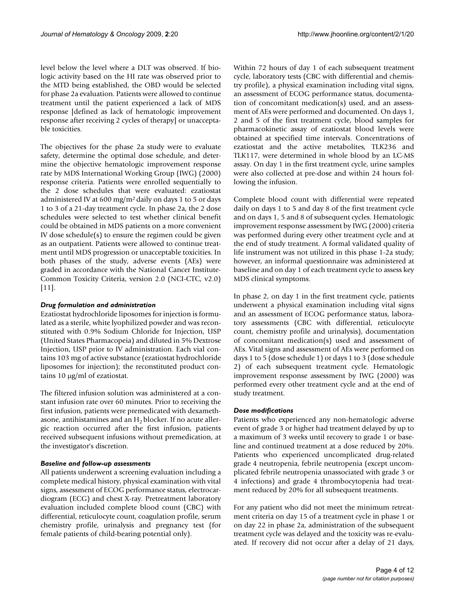level below the level where a DLT was observed. If biologic activity based on the HI rate was observed prior to the MTD being established, the OBD would be selected for phase 2a evaluation. Patients were allowed to continue treatment until the patient experienced a lack of MDS response [defined as lack of hematologic improvement response after receiving 2 cycles of therapy] or unacceptable toxicities.

The objectives for the phase 2a study were to evaluate safety, determine the optimal dose schedule, and determine the objective hematologic improvement response rate by MDS International Working Group (IWG) (2000) response criteria. Patients were enrolled sequentially to the 2 dose schedules that were evaluated: ezatiostat administered IV at 600 mg/m2 daily on days 1 to 5 or days 1 to 3 of a 21-day treatment cycle. In phase 2a, the 2 dose schedules were selected to test whether clinical benefit could be obtained in MDS patients on a more convenient IV dose schedule(s) to ensure the regimen could be given as an outpatient. Patients were allowed to continue treatment until MDS progression or unacceptable toxicities. In both phases of the study, adverse events (AEs) were graded in accordance with the National Cancer Institute-Common Toxicity Criteria, version 2.0 (NCI-CTC, v2.0) [11].

#### *Drug formulation and administration*

Ezatiostat hydrochloride liposomes for injection is formulated as a sterile, white lyophilized powder and was reconstituted with 0.9% Sodium Chloride for Injection, USP (United States Pharmacopeia) and diluted in 5% Dextrose Injection, USP prior to IV administration. Each vial contains 103 mg of active substance (ezatiostat hydrochloride liposomes for injection); the reconstituted product contains 10  $\mu$ g/ml of ezatiostat.

The filtered infusion solution was administered at a constant infusion rate over 60 minutes. Prior to receiving the first infusion, patients were premedicated with dexamethasone, antihistamines and an  $H_2$  blocker. If no acute allergic reaction occurred after the first infusion, patients received subsequent infusions without premedication, at the investigator's discretion.

#### *Baseline and follow-up assessments*

All patients underwent a screening evaluation including a complete medical history, physical examination with vital signs, assessment of ECOG performance status, electrocardiogram (ECG) and chest X-ray. Pretreatment laboratory evaluation included complete blood count (CBC) with differential, reticulocyte count, coagulation profile, serum chemistry profile, urinalysis and pregnancy test (for female patients of child-bearing potential only).

Within 72 hours of day 1 of each subsequent treatment cycle, laboratory tests (CBC with differential and chemistry profile), a physical examination including vital signs, an assessment of ECOG performance status, documentation of concomitant medication(s) used, and an assessment of AEs were performed and documented. On days 1, 2 and 5 of the first treatment cycle, blood samples for pharmacokinetic assay of ezatiostat blood levels were obtained at specified time intervals. Concentrations of ezatiostat and the active metabolites, TLK236 and TLK117, were determined in whole blood by an LC-MS assay. On day 1 in the first treatment cycle, urine samples were also collected at pre-dose and within 24 hours following the infusion.

Complete blood count with differential were repeated daily on days 1 to 5 and day 8 of the first treatment cycle and on days 1, 5 and 8 of subsequent cycles. Hematologic improvement response assessment by IWG (2000) criteria was performed during every other treatment cycle and at the end of study treatment. A formal validated quality of life instrument was not utilized in this phase 1-2a study; however, an informal questionnaire was administered at baseline and on day 1 of each treatment cycle to assess key MDS clinical symptoms.

In phase 2, on day 1 in the first treatment cycle, patients underwent a physical examination including vital signs and an assessment of ECOG performance status, laboratory assessments (CBC with differential, reticulocyte count, chemistry profile and urinalysis), documentation of concomitant medication(s) used and assessment of AEs. Vital signs and assessment of AEs were performed on days 1 to 5 (dose schedule 1) or days 1 to 3 (dose schedule 2) of each subsequent treatment cycle. Hematologic improvement response assessment by IWG (2000) was performed every other treatment cycle and at the end of study treatment.

#### *Dose modifications*

Patients who experienced any non-hematologic adverse event of grade 3 or higher had treatment delayed by up to a maximum of 3 weeks until recovery to grade 1 or baseline and continued treatment at a dose reduced by 20%. Patients who experienced uncomplicated drug-related grade 4 neutropenia, febrile neutropenia (except uncomplicated febrile neutropenia unassociated with grade 3 or 4 infections) and grade 4 thrombocytopenia had treatment reduced by 20% for all subsequent treatments.

For any patient who did not meet the minimum retreatment criteria on day 15 of a treatment cycle in phase 1 or on day 22 in phase 2a, administration of the subsequent treatment cycle was delayed and the toxicity was re-evaluated. If recovery did not occur after a delay of 21 days,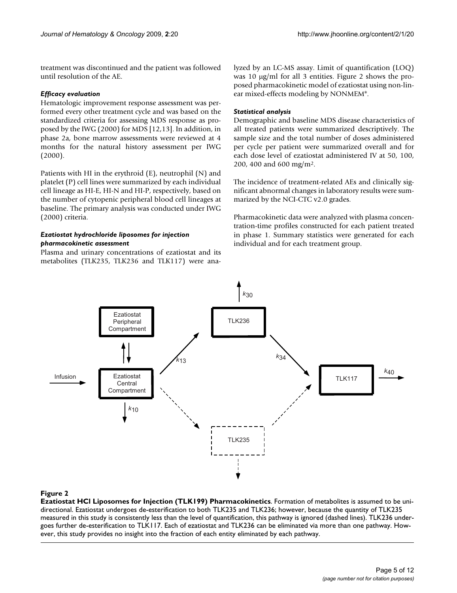treatment was discontinued and the patient was followed until resolution of the AE.

#### *Efficacy evaluation*

Hematologic improvement response assessment was performed every other treatment cycle and was based on the standardized criteria for assessing MDS response as proposed by the IWG (2000) for MDS [12,13]. In addition, in phase 2a, bone marrow assessments were reviewed at 4 months for the natural history assessment per IWG (2000).

Patients with HI in the erythroid (E), neutrophil (N) and platelet (P) cell lines were summarized by each individual cell lineage as HI-E, HI-N and HI-P, respectively, based on the number of cytopenic peripheral blood cell lineages at baseline. The primary analysis was conducted under IWG (2000) criteria.

### *Ezatiostat hydrochloride liposomes for injection pharmacokinetic assessment*

Plasma and urinary concentrations of ezatiostat and its metabolites (TLK235, TLK236 and TLK117) were analyzed by an LC-MS assay. Limit of quantification (LOQ) was 10  $\mu$ g/ml for all 3 entities. Figure 2 shows the proposed pharmacokinetic model of ezatiostat using non-linear mixed-effects modeling by NONMEM®.

### *Statistical analysis*

Demographic and baseline MDS disease characteristics of all treated patients were summarized descriptively. The sample size and the total number of doses administered per cycle per patient were summarized overall and for each dose level of ezatiostat administered IV at 50, 100, 200, 400 and 600 mg/m2.

The incidence of treatment-related AEs and clinically significant abnormal changes in laboratory results were summarized by the NCI-CTC v2.0 grades.

Pharmacokinetic data were analyzed with plasma concentration-time profiles constructed for each patient treated in phase 1. Summary statistics were generated for each individual and for each treatment group.



### **Figure 2**

**Ezatiostat HCl Liposomes for Injection (TLK199) Pharmacokinetics**. Formation of metabolites is assumed to be unidirectional. Ezatiostat undergoes de-esterification to both TLK235 and TLK236; however, because the quantity of TLK235 measured in this study is consistently less than the level of quantification, this pathway is ignored (dashed lines). TLK236 undergoes further de-esterification to TLK117. Each of ezatiostat and TLK236 can be eliminated via more than one pathway. However, this study provides no insight into the fraction of each entity eliminated by each pathway.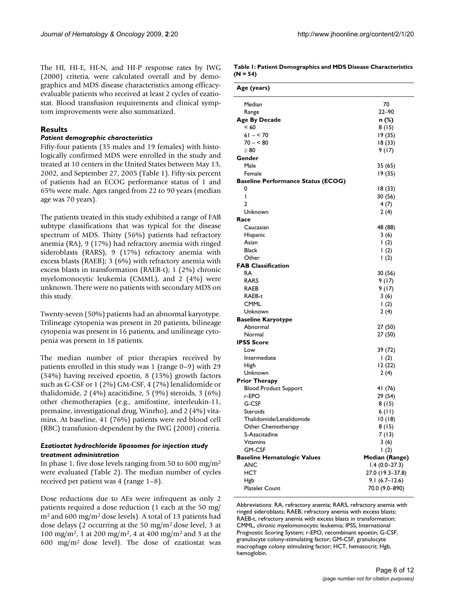The HI, HI-E, HI-N, and HI-P response rates by IWG (2000) criteria, were calculated overall and by demographics and MDS disease characteristics among efficacyevaluable patients who received at least 2 cycles of ezatiostat. Blood transfusion requirements and clinical symptom improvements were also summarized.

#### **Results**

#### *Patient demographic characteristics*

Fifty-four patients (35 males and 19 females) with histologically confirmed MDS were enrolled in the study and treated at 10 centers in the United States between May 13, 2002, and September 27, 2005 (Table 1). Fifty-six percent of patients had an ECOG performance status of 1 and 65% were male. Ages ranged from 22 to 90 years (median age was 70 years).

The patients treated in this study exhibited a range of FAB subtype classifications that was typical for the disease spectrum of MDS. Thirty (56%) patients had refractory anemia (RA), 9 (17%) had refractory anemia with ringed sideroblasts (RARS), 9 (17%) refractory anemia with excess blasts (RAEB); 3 (6%) with refractory anemia with excess blasts in transformation (RAEB-t); 1 (2%) chronic myelomonocytic leukemia (CMML), and 2 (4%) were unknown. There were no patients with secondary MDS on this study.

Twenty-seven (50%) patients had an abnormal karyotype. Trilineage cytopenia was present in 20 patients, bilineage cytopenia was present in 16 patients, and unilineage cytopenia was present in 18 patients.

The median number of prior therapies received by patients enrolled in this study was 1 (range 0–9) with 29 (54%) having received epoetin, 8 (15%) growth factors such as G-CSF or 1 (2%) GM-CSF, 4 (7%) lenalidomide or thalidomide, 2 (4%) azacitidine, 5 (9%) steroids, 3 (6%) other chemotherapies (e.g., amifostine, interleukin-11, premaine, investigational drug, Winrho), and 2 (4%) vitamins. At baseline, 41 (76%) patients were red blood cell (RBC) transfusion-dependent by the IWG (2000) criteria.

#### *Ezatiostat hydrochloride liposomes for injection study treatment administration*

In phase 1, five dose levels ranging from 50 to 600 mg/m<sup>2</sup> were evaluated (Table 2). The median number of cycles received per patient was 4 (range 1–8).

Dose reductions due to AEs were infrequent as only 2 patients required a dose reduction (1 each at the 50 mg/ m2 and 600 mg/m2 dose levels). A total of 13 patients had dose delays (2 occurring at the 50 mg/m2 dose level, 3 at 100 mg/m<sup>2</sup>, 1 at 200 mg/m<sup>2</sup>, 4 at 400 mg/m<sup>2</sup> and 3 at the 600 mg/m2 dose level). The dose of ezatiostat was

**Table 1: Patient Demographics and MDS Disease Characteristics (N = 54)**

| Age (years)                               |                    |
|-------------------------------------------|--------------------|
| Median                                    | 70                 |
| Range                                     | 22–90              |
| <b>Age By Decade</b>                      | n (%)              |
| < 60                                      | 8 (15)             |
| $61 - 570$                                | 19 (35)            |
| $70 - 80$                                 | 18 (33)            |
| $\geq 80$                                 | 9 (17)             |
| Gender                                    |                    |
| Male                                      | 35 (65)            |
| Female                                    | 19 (35)            |
| <b>Baseline Performance Status (ECOG)</b> |                    |
| 0                                         | 18(33)             |
| I                                         | 30 (56)            |
| $\overline{2}$                            | 4(7)               |
| Unknown                                   | 2(4)               |
| Race                                      |                    |
| Caucasian                                 | 48 (88)            |
| Hispanic                                  | 3(6)               |
| Asian                                     | 1(2)               |
| Black                                     | $\left( 2 \right)$ |
| Other                                     | $\left( 2 \right)$ |
| <b>FAB Classification</b>                 |                    |
| RA                                        | 30 (56)            |
| <b>RARS</b>                               | 9 (17)             |
| RAEB                                      | 9(17)              |
| RAEB-t                                    | 3(6)               |
| <b>CMML</b>                               | 1(2)               |
| Unknown                                   | 2(4)               |
| <b>Baseline Karyotype</b>                 |                    |
| Abnormal                                  | 27 (50)            |
| Normal                                    | 27 (50)            |
| <b>IPSS Score</b>                         |                    |
| Low                                       | 39 (72)            |
| Intermediate                              | 1(2)               |
| High                                      | 12 (22)            |
| Unknown                                   | 2(4)               |
| <b>Prior Therapy</b>                      |                    |
| <b>Blood Product Support</b>              | 41 (76)            |
| r-EPO                                     | 29 (54)            |
| G-CSF                                     | 8(15)              |
| Steroids                                  | 6 (II)             |
| Thalidomide/Lenalidomide                  | 10(18)             |
| Other Chemotherapy                        | 8(15)              |
| 5-Azacitadine                             | 7(13)              |
| Vitamins                                  | 3(6)               |
| <b>GM-CSF</b>                             | 1(2)               |
| <b>Baseline Hematologic Values</b>        | Median (Range)     |
| <b>ANC</b>                                | $1.4(0.0-27.3)$    |
| HCT                                       | 27.0 (19.3-37.8)   |
| Hgb                                       | $9.1(6.7-12.6)$    |
| <b>Platelet Count</b>                     | 70.0 (9.0-890)     |
|                                           |                    |

Abbreviations: RA, refractory anemia; RARS, refractory anemia with ringed sideroblasts; RAEB, refractory anemia with excess blasts; RAEB-t, refractory anemia with excess blasts in transformation; CMML, chronic myelomonocytic leukemia; IPSS, International Prognostic Scoring System; r-EPO, recombinant epoetin; G-CSF, granulocyte colony-stimulating factor; GM-CSF, granulocyte macrophage colony stimulating factor; HCT, hematocrit; Hgb, hemoglobin.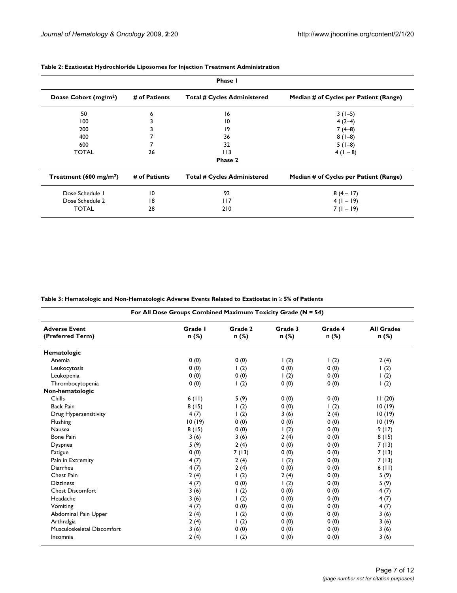| Phase I                            |                 |                                    |                                        |
|------------------------------------|-----------------|------------------------------------|----------------------------------------|
| Doase Cohort (mg/m <sup>2</sup> )  | # of Patients   | <b>Total # Cycles Administered</b> | Median # of Cycles per Patient (Range) |
| 50                                 | 6               | 16                                 | $3(1-5)$                               |
| 100                                |                 | 10                                 | $4(2-4)$                               |
| 200                                |                 | 19                                 | $7(4-8)$                               |
| 400                                |                 | 36                                 | $8(1-8)$                               |
| 600                                |                 | 32                                 | $5(1-8)$                               |
| <b>TOTAL</b>                       | 26              | 113                                | $4(1-8)$                               |
|                                    |                 | Phase 2                            |                                        |
| Treatment (600 mg/m <sup>2</sup> ) | # of Patients   | <b>Total # Cycles Administered</b> | Median # of Cycles per Patient (Range) |
| Dose Schedule 1                    | $\overline{10}$ | 93                                 | $8(4-17)$                              |
| Dose Schedule 2                    | 18              | 117                                | $4(1-19)$                              |
| <b>TOTAL</b>                       | 28              | 210                                | $7(1-19)$                              |

#### **Table 2: Ezatiostat Hydrochloride Liposomes for Injection Treatment Administration**

**Table 3: Hematologic and Non-Hematologic Adverse Events Related to Ezatiostat in** t **5% of Patients**

| For All Dose Groups Combined Maximum Toxicity Grade (N = 54) |                  |                    |                    |                    |                            |
|--------------------------------------------------------------|------------------|--------------------|--------------------|--------------------|----------------------------|
| <b>Adverse Event</b><br>(Preferred Term)                     | Grade I<br>n (%) | Grade 2<br>n (%)   | Grade 3<br>n (%)   | Grade 4<br>$n$ (%) | <b>All Grades</b><br>n (%) |
| Hematologic                                                  |                  |                    |                    |                    |                            |
| Anemia                                                       | 0(0)             | 0(0)               | $\left( 2 \right)$ | $\vert$ (2)        | 2(4)                       |
| Leukocytosis                                                 | 0(0)             | $\perp$ (2)        | 0(0)               | 0(0)               | $\binom{2}{}$              |
| Leukopenia                                                   | 0(0)             | 0(0)               | $\left( 2 \right)$ | 0(0)               | $\vert$ (2)                |
| Thrombocytopenia                                             | 0(0)             | $\vert$ (2)        | 0(0)               | 0(0)               | $\left( 2 \right)$         |
| Non-hematologic                                              |                  |                    |                    |                    |                            |
| Chills                                                       | 6(11)            | 5(9)               | 0(0)               | 0(0)               | 11(20)                     |
| <b>Back Pain</b>                                             | 8(15)            | $\left( 2 \right)$ | 0(0)               | $\left( 2 \right)$ | 10(19)                     |
| Drug Hypersensitivity                                        | 4(7)             | $\vert$ (2)        | 3(6)               | 2(4)               | 10(19)                     |
| Flushing                                                     | 10(19)           | 0(0)               | 0(0)               | 0(0)               | 10(19)                     |
| Nausea                                                       | 8(15)            | 0(0)               | $\frac{1(2)}{2}$   | 0(0)               | 9(17)                      |
| <b>Bone Pain</b>                                             | 3(6)             | 3(6)               | 2(4)               | 0(0)               | 8(15)                      |
| Dyspnea                                                      | 5(9)             | 2(4)               | 0(0)               | 0(0)               | 7(13)                      |
| Fatigue                                                      | 0(0)             | 7(13)              | 0(0)               | 0(0)               | 7(13)                      |
| Pain in Extremity                                            | 4(7)             | 2(4)               | $\left( 2 \right)$ | 0(0)               | 7(13)                      |
| Diarrhea                                                     | 4(7)             | 2(4)               | 0(0)               | 0(0)               | 6(11)                      |
| Chest Pain                                                   | 2(4)             | 1(2)               | 2(4)               | 0(0)               | 5(9)                       |
| <b>Dizziness</b>                                             | 4(7)             | 0(0)               | $\left( 2 \right)$ | 0(0)               | 5(9)                       |
| <b>Chest Discomfort</b>                                      | 3(6)             | $\vert$ (2)        | 0(0)               | 0(0)               | 4(7)                       |
| Headache                                                     | 3(6)             | $\left( 2 \right)$ | 0(0)               | 0(0)               | 4(7)                       |
| Vomiting                                                     | 4(7)             | 0(0)               | 0(0)               | 0(0)               | 4(7)                       |
| Abdominal Pain Upper                                         | 2(4)             | $\left( 2 \right)$ | 0(0)               | 0(0)               | 3(6)                       |
| Arthralgia                                                   | 2(4)             | $\perp$ (2)        | 0(0)               | 0(0)               | 3(6)                       |
| Musculoskeletal Discomfort                                   | 3(6)             | 0(0)               | 0(0)               | 0(0)               | 3(6)                       |
| Insomnia                                                     | 2(4)             | $\vert$ (2)        | 0(0)               | 0(0)               | 3(6)                       |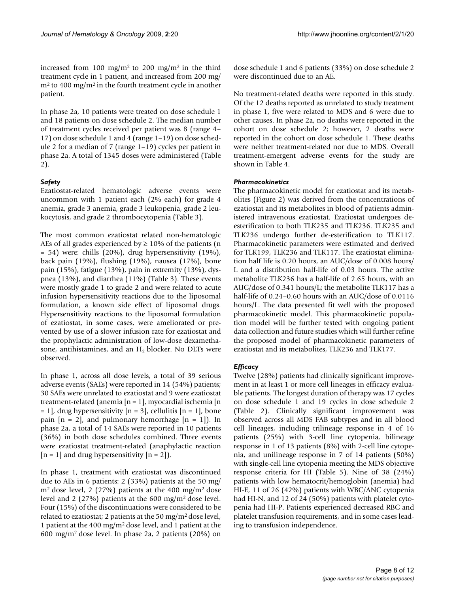increased from 100 mg/m<sup>2</sup> to 200 mg/m<sup>2</sup> in the third treatment cycle in 1 patient, and increased from 200 mg/  $m<sup>2</sup>$  to 400 mg/m<sup>2</sup> in the fourth treatment cycle in another patient.

In phase 2a, 10 patients were treated on dose schedule 1 and 18 patients on dose schedule 2. The median number of treatment cycles received per patient was 8 (range 4– 17) on dose schedule 1 and 4 (range 1–19) on dose schedule 2 for a median of 7 (range 1–19) cycles per patient in phase 2a. A total of 1345 doses were administered (Table 2).

#### *Safety*

Ezatiostat-related hematologic adverse events were uncommon with 1 patient each (2% each) for grade 4 anemia, grade 3 anemia, grade 3 leukopenia, grade 2 leukocytosis, and grade 2 thrombocytopenia (Table 3).

The most common ezatiostat related non-hematologic AEs of all grades experienced by  $\geq 10\%$  of the patients (n = 54) were: chills (20%), drug hypersensitivity (19%), back pain (19%), flushing (19%), nausea (17%), bone pain (15%), fatigue (13%), pain in extremity (13%), dyspnea (13%), and diarrhea (11%) (Table 3). These events were mostly grade 1 to grade 2 and were related to acute infusion hypersensitivity reactions due to the liposomal formulation, a known side effect of liposomal drugs. Hypersensitivity reactions to the liposomal formulation of ezatiostat, in some cases, were ameliorated or prevented by use of a slower infusion rate for ezatiostat and the prophylactic administration of low-dose dexamethasone, antihistamines, and an  $H<sub>2</sub>$  blocker. No DLTs were observed.

In phase 1, across all dose levels, a total of 39 serious adverse events (SAEs) were reported in 14 (54%) patients; 30 SAEs were unrelated to ezatiostat and 9 were ezatiostat treatment-related (anemia [n = 1], myocardial ischemia [n  $= 1$ ], drug hypersensitivity  $[n = 3]$ , cellulitis  $[n = 1]$ , bone pain  $[n = 2]$ , and pulmonary hemorrhage  $[n = 1]$ ). In phase 2a, a total of 14 SAEs were reported in 10 patients (36%) in both dose schedules combined. Three events were ezatiostat treatment-related (anaphylactic reaction  $[n = 1]$  and drug hypersensitivity  $[n = 2]$ .

In phase 1, treatment with ezatiostat was discontinued due to AEs in 6 patients: 2 (33%) patients at the 50 mg/  $m<sup>2</sup>$  dose level, 2 (27%) patients at the 400 mg/m<sup>2</sup> dose level and 2 (27%) patients at the 600 mg/m2 dose level. Four (15%) of the discontinuations were considered to be related to ezatiostat; 2 patients at the 50 mg/m2 dose level, 1 patient at the 400 mg/m2 dose level, and 1 patient at the 600 mg/m2 dose level. In phase 2a, 2 patients (20%) on dose schedule 1 and 6 patients (33%) on dose schedule 2 were discontinued due to an AE.

No treatment-related deaths were reported in this study. Of the 12 deaths reported as unrelated to study treatment in phase 1, five were related to MDS and 6 were due to other causes. In phase 2a, no deaths were reported in the cohort on dose schedule 2; however, 2 deaths were reported in the cohort on dose schedule 1. These deaths were neither treatment-related nor due to MDS. Overall treatment-emergent adverse events for the study are shown in Table 4.

#### *Pharmacokinetics*

The pharmacokinetic model for ezatiostat and its metabolites (Figure 2) was derived from the concentrations of ezatiostat and its metabolites in blood of patients administered intravenous ezatiostat. Ezatiostat undergoes deesterification to both TLK235 and TLK236. TLK235 and TLK236 undergo further de-esterification to TLK117. Pharmacokinetic parameters were estimated and derived for TLK199, TLK236 and TLK117. The ezatiostat elimination half life is 0.20 hours, an AUC/dose of 0.008 hours/ L and a distribution half-life of 0.03 hours. The active metabolite TLK236 has a half-life of 2.65 hours, with an AUC/dose of 0.341 hours/L; the metabolite TLK117 has a half-life of 0.24–0.60 hours with an AUC/dose of 0.0116 hours/L. The data presented fit well with the proposed pharmacokinetic model. This pharmacokinetic population model will be further tested with ongoing patient data collection and future studies which will further refine the proposed model of pharmacokinetic parameters of ezatiostat and its metabolites, TLK236 and TLK177.

### *Efficacy*

Twelve (28%) patients had clinically significant improvement in at least 1 or more cell lineages in efficacy evaluable patients. The longest duration of therapy was 17 cycles on dose schedule 1 and 19 cycles in dose schedule 2 (Table 2). Clinically significant improvement was observed across all MDS FAB subtypes and in all blood cell lineages, including trilineage response in 4 of 16 patients (25%) with 3-cell line cytopenia, bilineage response in 1 of 13 patients (8%) with 2-cell line cytopenia, and unilineage response in 7 of 14 patients (50%) with single-cell line cytopenia meeting the MDS objective response criteria for HI (Table 5). Nine of 38 (24%) patients with low hematocrit/hemoglobin (anemia) had HI-E, 11 of 26 (42%) patients with WBC/ANC cytopenia had HI-N, and 12 of 24 (50%) patients with platelet cytopenia had HI-P. Patients experienced decreased RBC and platelet transfusion requirements, and in some cases leading to transfusion independence.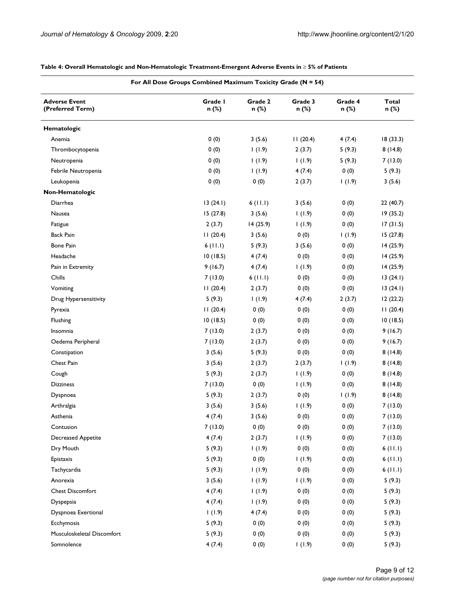| For All Dose Groups Combined Maximum Toxicity Grade (N = 54) |                  |                  |                  |                  |                       |
|--------------------------------------------------------------|------------------|------------------|------------------|------------------|-----------------------|
| <b>Adverse Event</b><br>(Preferred Term)                     | Grade I<br>n (%) | Grade 2<br>n (%) | Grade 3<br>n (%) | Grade 4<br>n (%) | <b>Total</b><br>n (%) |
| Hematologic                                                  |                  |                  |                  |                  |                       |
| Anemia                                                       | 0(0)             | 3(5.6)           | 11(20.4)         | 4(7.4)           | 18(33.3)              |
| Thrombocytopenia                                             | 0(0)             | 1(1.9)           | 2(3.7)           | 5(9.3)           | 8(14.8)               |
| Neutropenia                                                  | 0(0)             | 1(1.9)           | 1(1.9)           | 5(9.3)           | 7(13.0)               |
| Febrile Neutropenia                                          | 0(0)             | 1(1.9)           | 4(7.4)           | 0(0)             | 5(9.3)                |
| Leukopenia                                                   | 0(0)             | 0(0)             | 2(3.7)           | 1(1.9)           | 3(5.6)                |
| Non-Hematologic                                              |                  |                  |                  |                  |                       |
| Diarrhea                                                     | 13(24.1)         | 6(11.1)          | 3(5.6)           | 0(0)             | 22(40.7)              |
| Nausea                                                       | 15(27.8)         | 3(5.6)           | 1(1.9)           | 0(0)             | 19(35.2)              |
| Fatigue                                                      | 2(3.7)           | 14 (25.9)        | 1(1.9)           | 0(0)             | 17(31.5)              |
| <b>Back Pain</b>                                             | 11(20.4)         | 3(5.6)           | 0(0)             | 1(1.9)           | 15(27.8)              |
| <b>Bone Pain</b>                                             | 6(11.1)          | 5(9.3)           | 3(5.6)           | 0(0)             | 14(25.9)              |
| Headache                                                     | 10(18.5)         | 4(7.4)           | 0(0)             | 0(0)             | 14(25.9)              |
| Pain in Extremity                                            | 9(16.7)          | 4(7.4)           | 1(1.9)           | 0(0)             | 14(25.9)              |
| Chills                                                       | 7(13.0)          | 6(11.1)          | 0(0)             | 0(0)             | 13(24.1)              |
| Vomiting                                                     | 11(20.4)         | 2(3.7)           | 0(0)             | 0(0)             | 13(24.1)              |
| Drug Hypersensitivity                                        | 5(9.3)           | 1(1.9)           | 4(7.4)           | 2(3.7)           | 12(22.2)              |
| Pyrexia                                                      | 11(20.4)         | 0(0)             | 0(0)             | 0(0)             | 11(20.4)              |
| Flushing                                                     | 10(18.5)         | 0(0)             | 0(0)             | 0(0)             | 10(18.5)              |
| Insomnia                                                     | 7(13.0)          | 2(3.7)           | 0(0)             | 0(0)             | 9(16.7)               |
| Oedema Peripheral                                            | 7(13.0)          | 2(3.7)           | 0(0)             | 0(0)             | 9(16.7)               |
| Constipation                                                 | 3(5.6)           | 5(9.3)           | 0(0)             | 0(0)             | 8(14.8)               |
| Chest Pain                                                   | 3(5.6)           | 2(3.7)           | 2(3.7)           | 1(1.9)           | 8(14.8)               |
| Cough                                                        | 5(9.3)           | 2(3.7)           | 1(1.9)           | 0(0)             | 8(14.8)               |
| <b>Dizziness</b>                                             | 7(13.0)          | 0(0)             | 1(1.9)           | 0(0)             | 8(14.8)               |
| Dyspnoea                                                     | 5(9.3)           | 2(3.7)           | 0(0)             | 1(1.9)           | 8(14.8)               |
| Arthralgia                                                   | 3(5.6)           | 3(5.6)           | 1(1.9)           | 0(0)             | 7(13.0)               |
| Asthenia                                                     | 4(7.4)           | 3(5.6)           | 0(0)             | 0(0)             | 7(13.0)               |
| Contusion                                                    | 7(13.0)          | 0(0)             | 0(0)             | 0(0)             | 7(13.0)               |
| Decreased Appetite                                           | 4(7.4)           | 2(3.7)           | 1(1.9)           | 0(0)             | 7(13.0)               |
| Dry Mouth                                                    | 5(9.3)           | 1(1.9)           | 0(0)             | 0(0)             | 6(11.1)               |
| Epistaxis                                                    | 5(9.3)           | 0(0)             | 1(1.9)           | 0(0)             | 6(11.1)               |
| Tachycardia                                                  | 5(9.3)           | 1(1.9)           | 0(0)             | 0(0)             | 6(11.1)               |
| Anorexia                                                     | 3(5.6)           | 1(1.9)           | 1(1.9)           | 0(0)             | 5(9.3)                |
| <b>Chest Discomfort</b>                                      | 4(7.4)           | 1(1.9)           | 0(0)             | 0(0)             | 5(9.3)                |
| Dyspepsia                                                    | 4(7.4)           | 1(1.9)           | 0(0)             | 0(0)             | 5(9.3)                |
| Dyspnoea Exertional                                          | 1(1.9)           | 4(7.4)           | 0(0)             | 0(0)             | 5(9.3)                |
| Ecchymosis                                                   | 5(9.3)           | 0(0)             | 0(0)             | 0(0)             | 5(9.3)                |
| Musculoskeletal Discomfort                                   | 5(9.3)           | 0(0)             | 0(0)             | 0(0)             | 5(9.3)                |
| Somnolence                                                   | 4(7.4)           | 0(0)             | 1(1.9)           | 0(0)             | 5(9.3)                |

#### **Table 4: Overall Hematologic and Non-Hematologic Treatment-Emergent Adverse Events in** t **5% of Patients**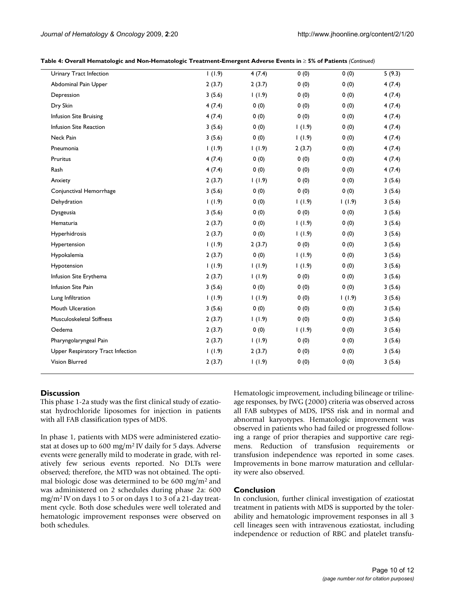| Table 4: Overall Hematologic and Non-Hematologic Treatment-Emergent Adverse Events in $\geq$ 5% of Patients (Continued) |  |  |
|-------------------------------------------------------------------------------------------------------------------------|--|--|
|-------------------------------------------------------------------------------------------------------------------------|--|--|

| Urinary Tract Infection           | 1(1.9) | 4(7.4) | 0(0)   | 0(0)   | 5(9.3) |
|-----------------------------------|--------|--------|--------|--------|--------|
| Abdominal Pain Upper              | 2(3.7) | 2(3.7) | 0(0)   | 0(0)   | 4(7.4) |
| Depression                        | 3(5.6) | 1(1.9) | 0(0)   | 0(0)   | 4(7.4) |
| Dry Skin                          | 4(7.4) | 0(0)   | 0(0)   | 0(0)   | 4(7.4) |
| Infusion Site Bruising            | 4(7.4) | 0(0)   | 0(0)   | 0(0)   | 4(7.4) |
| Infusion Site Reaction            | 3(5.6) | 0(0)   | 1(1.9) | 0(0)   | 4(7.4) |
| Neck Pain                         | 3(5.6) | 0(0)   | 1(1.9) | 0(0)   | 4(7.4) |
| Pneumonia                         | 1(1.9) | 1(1.9) | 2(3.7) | 0(0)   | 4(7.4) |
| Pruritus                          | 4(7.4) | 0(0)   | 0(0)   | 0(0)   | 4(7.4) |
| Rash                              | 4(7.4) | 0(0)   | 0(0)   | 0(0)   | 4(7.4) |
| Anxiety                           | 2(3.7) | 1(1.9) | 0(0)   | 0(0)   | 3(5.6) |
| Conjunctival Hemorrhage           | 3(5.6) | 0(0)   | 0(0)   | 0(0)   | 3(5.6) |
| Dehydration                       | 1(1.9) | 0(0)   | 1(1.9) | 1(1.9) | 3(5.6) |
| Dysgeusia                         | 3(5.6) | 0(0)   | 0(0)   | 0(0)   | 3(5.6) |
| Hematuria                         | 2(3.7) | 0(0)   | 1(1.9) | 0(0)   | 3(5.6) |
| Hyperhidrosis                     | 2(3.7) | 0(0)   | 1(1.9) | 0(0)   | 3(5.6) |
| Hypertension                      | 1(1.9) | 2(3.7) | 0(0)   | 0(0)   | 3(5.6) |
| Hypokalemia                       | 2(3.7) | 0(0)   | 1(1.9) | 0(0)   | 3(5.6) |
| Hypotension                       | 1(1.9) | 1(1.9) | 1(1.9) | 0(0)   | 3(5.6) |
| Infusion Site Erythema            | 2(3.7) | (1.9)  | 0(0)   | 0(0)   | 3(5.6) |
| Infusion Site Pain                | 3(5.6) | 0(0)   | 0(0)   | 0(0)   | 3(5.6) |
| Lung Infiltration                 | 1(1.9) | 1(1.9) | 0(0)   | 1(1.9) | 3(5.6) |
| Mouth Ulceration                  | 3(5.6) | 0(0)   | 0(0)   | 0(0)   | 3(5.6) |
| <b>Musculoskeletal Stiffness</b>  | 2(3.7) | 1(1.9) | 0(0)   | 0(0)   | 3(5.6) |
| Oedema                            | 2(3.7) | 0(0)   | 1(1.9) | 0(0)   | 3(5.6) |
| Pharyngolaryngeal Pain            | 2(3.7) | 1(1.9) | 0(0)   | 0(0)   | 3(5.6) |
| Upper Respiratory Tract Infection | 1(1.9) | 2(3.7) | 0(0)   | 0(0)   | 3(5.6) |
| Vision Blurred                    | 2(3.7) | 1(1.9) | 0(0)   | 0(0)   | 3(5.6) |

#### **Discussion**

This phase 1-2a study was the first clinical study of ezatiostat hydrochloride liposomes for injection in patients with all FAB classification types of MDS.

In phase 1, patients with MDS were administered ezatiostat at doses up to 600 mg/m2 IV daily for 5 days. Adverse events were generally mild to moderate in grade, with relatively few serious events reported. No DLTs were observed; therefore, the MTD was not obtained. The optimal biologic dose was determined to be 600 mg/m2 and was administered on 2 schedules during phase 2a: 600 mg/m2 IV on days 1 to 5 or on days 1 to 3 of a 21-day treatment cycle. Both dose schedules were well tolerated and hematologic improvement responses were observed on both schedules.

Hematologic improvement, including bilineage or trilineage responses, by IWG (2000) criteria was observed across all FAB subtypes of MDS, IPSS risk and in normal and abnormal karyotypes. Hematologic improvement was observed in patients who had failed or progressed following a range of prior therapies and supportive care regimens. Reduction of transfusion requirements or transfusion independence was reported in some cases. Improvements in bone marrow maturation and cellularity were also observed.

#### **Conclusion**

In conclusion, further clinical investigation of ezatiostat treatment in patients with MDS is supported by the tolerability and hematologic improvement responses in all 3 cell lineages seen with intravenous ezatiostat, including independence or reduction of RBC and platelet transfu-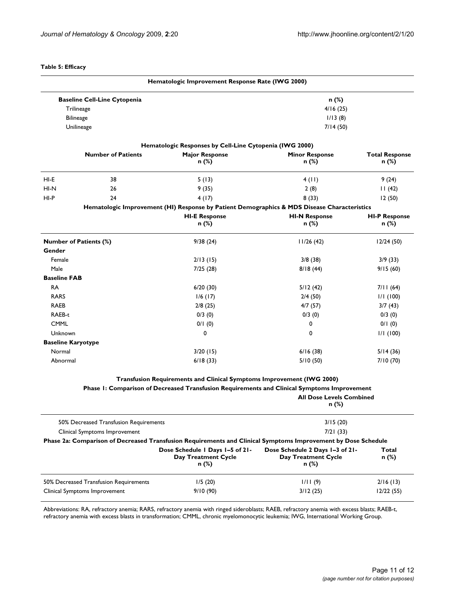#### **Table 5: Efficacy**

|                               |                                                       | Hematologic Improvement Response Rate (IWG 2000)                      |                                                                                                               |                       |
|-------------------------------|-------------------------------------------------------|-----------------------------------------------------------------------|---------------------------------------------------------------------------------------------------------------|-----------------------|
|                               | <b>Baseline Cell-Line Cytopenia</b>                   |                                                                       | n (%)                                                                                                         |                       |
|                               | Trilineage<br>4/16(25)<br><b>Bilineage</b><br>1/13(8) |                                                                       |                                                                                                               |                       |
|                               |                                                       |                                                                       |                                                                                                               |                       |
| Unilineage                    |                                                       |                                                                       | 7/14 (50)                                                                                                     |                       |
|                               |                                                       | Hematologic Responses by Cell-Line Cytopenia (IWG 2000)               |                                                                                                               |                       |
|                               | <b>Number of Patients</b>                             | <b>Major Response</b>                                                 | <b>Minor Response</b>                                                                                         | <b>Total Response</b> |
|                               |                                                       | n (%)                                                                 | n (%)                                                                                                         | n (%)                 |
| HI-E                          | 38                                                    | 5(13)                                                                 | 4(11)                                                                                                         | 9 (24)                |
| HI-N                          | 26                                                    | 9(35)                                                                 | 2(8)                                                                                                          | 11(42)                |
| HI-P                          | 24                                                    | 4(17)                                                                 | 8(33)                                                                                                         | 12(50)                |
|                               |                                                       |                                                                       | Hematologic Improvement (HI) Response by Patient Demographics & MDS Disease Characteristics                   |                       |
|                               |                                                       | <b>HI-E Response</b>                                                  | <b>HI-N Response</b>                                                                                          | <b>HI-P Response</b>  |
|                               |                                                       | n (%)                                                                 | n (%)                                                                                                         | n (%)                 |
| <b>Number of Patients (%)</b> |                                                       | 9/38(24)                                                              | 11/26(42)                                                                                                     | 12/24(50)             |
| Gender                        |                                                       |                                                                       |                                                                                                               |                       |
| Female                        |                                                       | 2/13(15)                                                              | 3/8(38)                                                                                                       | 3/9(33)               |
| Male                          |                                                       | 7/25(28)                                                              | 8/18(44)                                                                                                      | 9/15(60)              |
| <b>Baseline FAB</b>           |                                                       |                                                                       |                                                                                                               |                       |
| <b>RA</b>                     |                                                       | 6/20(30)                                                              | 5/12(42)                                                                                                      | 7/11(64)              |
| <b>RARS</b>                   |                                                       | $1/6$ (17)                                                            | 2/4(50)                                                                                                       | 1/1(100)              |
| <b>RAEB</b>                   |                                                       | 2/8(25)                                                               | 4/7(57)                                                                                                       | 3/7(43)               |
| RAEB-t                        |                                                       | 0/3(0)                                                                | 0/3(0)                                                                                                        | 0/3(0)                |
| <b>CMML</b>                   |                                                       | 0/1(0)                                                                | 0                                                                                                             | 0/1(0)                |
| Unknown                       |                                                       | 0                                                                     | 0                                                                                                             | 1/1(100)              |
| <b>Baseline Karyotype</b>     |                                                       |                                                                       |                                                                                                               |                       |
| Normal                        |                                                       | 3/20(15)                                                              | 6/16(38)                                                                                                      | 5/14(36)              |
| Abnormal                      |                                                       | 6/18(33)                                                              | 5/10(50)                                                                                                      | 7/10(70)              |
|                               |                                                       | Transfusion Requirements and Clinical Symptoms Improvement (IWG 2000) |                                                                                                               |                       |
|                               |                                                       |                                                                       | Phase I: Comparison of Decreased Transfusion Requirements and Clinical Symptoms Improvement                   |                       |
|                               |                                                       |                                                                       | <b>All Dose Levels Combined</b><br>n (%)                                                                      |                       |
|                               | 50% Decreased Transfusion Requirements                |                                                                       | 3/15(20)                                                                                                      |                       |
|                               | Clinical Symptoms Improvement                         |                                                                       | 7/21(33)                                                                                                      |                       |
|                               |                                                       |                                                                       | Phase 2a: Comparison of Decreased Transfusion Requirements and Clinical Symptoms Improvement by Dose Schedule |                       |
|                               |                                                       | Dose Schedule   Days 1-5 of 21-                                       | Dose Schedule 2 Days 1-3 of 21-                                                                               | Total                 |
|                               |                                                       | <b>Day Treatment Cycle</b><br>n (%)                                   | Day Treatment Cycle<br>n (%)                                                                                  | n (%)                 |
|                               | 50% Decreased Transfusion Requirements                | 1/5(20)                                                               | 1/11(9)                                                                                                       | 2/16(13)              |

Abbreviations: RA, refractory anemia; RARS, refractory anemia with ringed sideroblasts; RAEB, refractory anemia with excess blasts; RAEB-t, refractory anemia with excess blasts in transformation; CMML, chronic myelomonocytic leukemia; IWG, International Working Group.

Clinical Symptoms Improvement 9/10 (90) 3/12 (25) 12/22 (55)